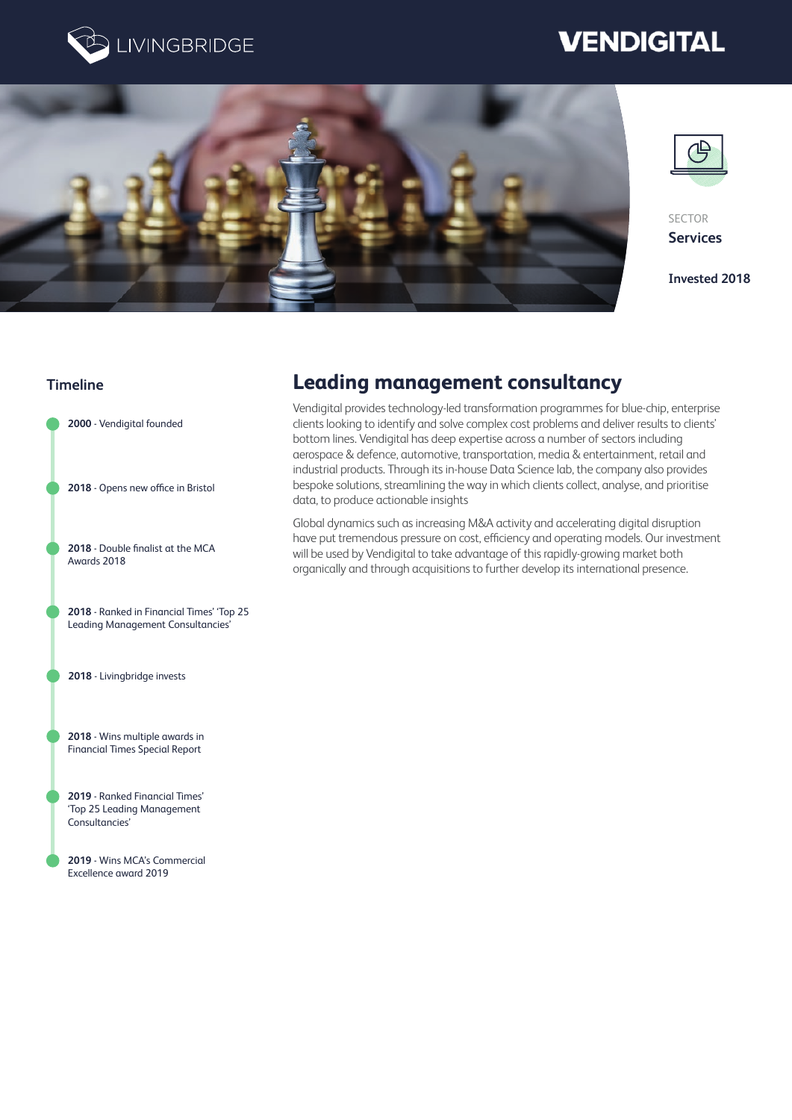

# **VENDIGITAL**





SECTOR **Services**

**Invested 2018**

### **Timeline**

**2000** - Vendigital founded

**2018** - Opens new office in Bristol

**2018** - Double finalist at the MCA Awards 2018

**2018** - Ranked in Financial Times' 'Top 25 Leading Management Consultancies'

**2018** - Livingbridge invests

**2018** - Wins multiple awards in Financial Times Special Report

**2019** - Ranked Financial Times' 'Top 25 Leading Management Consultancies'

**2019** - Wins MCA's Commercial Excellence award 2019

# **Leading management consultancy**

Vendigital provides technology-led transformation programmes for blue-chip, enterprise clients looking to identify and solve complex cost problems and deliver results to clients' bottom lines. Vendigital has deep expertise across a number of sectors including aerospace & defence, automotive, transportation, media & entertainment, retail and industrial products. Through its in-house Data Science lab, the company also provides bespoke solutions, streamlining the way in which clients collect, analyse, and prioritise data, to produce actionable insights

Global dynamics such as increasing M&A activity and accelerating digital disruption have put tremendous pressure on cost, efficiency and operating models. Our investment will be used by Vendigital to take advantage of this rapidly-growing market both organically and through acquisitions to further develop its international presence.